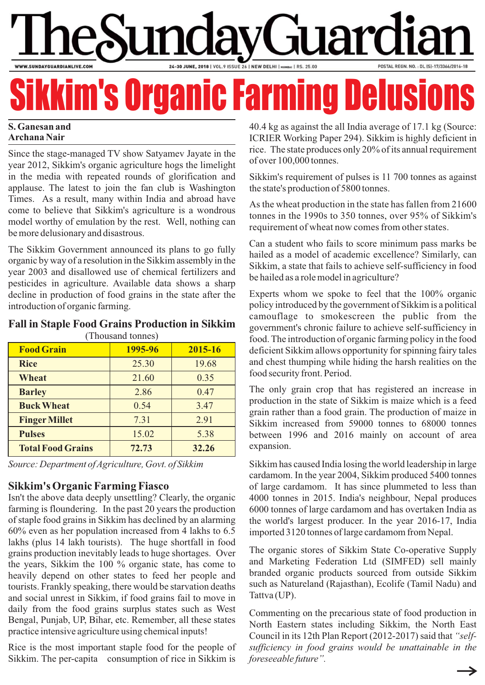# uar 24-30 JUNE, 2018 | VOL.9 ISSUE 26 | NEW DELHI | MUMBAI | RS. 25.00 WWW.SUNDAYGUARDIANLIVE.COM

# <u>m's Organic Farming Del</u>

#### **S. Ganesan and Archana Nair**

Since the stage-managed TV show Satyamev Jayate in the year 2012, Sikkim's organic agriculture hogs the limelight in the media with repeated rounds of glorification and applause. The latest to join the fan club is Washington Times. As a result, many within India and abroad have come to believe that Sikkim's agriculture is a wondrous model worthy of emulation by the rest. Well, nothing can be more delusionary and disastrous.

The Sikkim Government announced its plans to go fully organic by way of a resolution in the Sikkim assembly in the year 2003 and disallowed use of chemical fertilizers and pesticides in agriculture. Available data shows a sharp decline in production of food grains in the state after the introduction of organic farming.

#### **Fall in Staple Food Grains Production in Sikkim**

| (Thousand tonnes)        |         |         |  |
|--------------------------|---------|---------|--|
| <b>Food Grain</b>        | 1995-96 | 2015-16 |  |
| <b>Rice</b>              | 25.30   | 19.68   |  |
| Wheat                    | 21.60   | 0.35    |  |
| <b>Barley</b>            | 2.86    | 0.47    |  |
| <b>Buck Wheat</b>        | 0.54    | 3.47    |  |
| <b>Finger Millet</b>     | 7.31    | 2.91    |  |
| <b>Pulses</b>            | 15.02   | 5.38    |  |
| <b>Total Food Grains</b> | 72.73   | 32.26   |  |

*Source: Department of Agriculture, Govt. of Sikkim*

## **Sikkim's Organic Farming Fiasco**

Isn't the above data deeply unsettling? Clearly, the organic farming is floundering. In the past 20 years the production of staple food grains in Sikkim has declined by an alarming 60% even as her population increased from 4 lakhs to 6.5 lakhs (plus 14 lakh tourists). The huge shortfall in food grains production inevitably leads to huge shortages. Over the years, Sikkim the 100 % organic state, has come to heavily depend on other states to feed her people and tourists. Frankly speaking, there would be starvation deaths and social unrest in Sikkim, if food grains fail to move in daily from the food grains surplus states such as West Bengal, Punjab, UP, Bihar, etc. Remember, all these states practice intensive agriculture using chemical inputs!

Rice is the most important staple food for the people of Sikkim. The per-capita consumption of rice in Sikkim is

40.4 kg as against the all India average of 17.1 kg (Source: ICRIER Working Paper 294). Sikkim is highly deficient in rice. The state produces only 20% of its annual requirement of over 100,000 tonnes.

Sikkim's requirement of pulses is 11 700 tonnes as against the state's production of 5800 tonnes.

As the wheat production in the state has fallen from 21600 tonnes in the 1990s to 350 tonnes, over 95% of Sikkim's requirement of wheat now comes from other states.

Can a student who fails to score minimum pass marks be hailed as a model of academic excellence? Similarly, can Sikkim, a state that fails to achieve self-sufficiency in food be hailed as a role model in agriculture?

Experts whom we spoke to feel that the 100% organic policy introduced by the government of Sikkim is a political camouflage to smokescreen the public from the government's chronic failure to achieve self-sufficiency in food. The introduction of organic farming policy in the food deficient Sikkim allows opportunity for spinning fairy tales and chest thumping while hiding the harsh realities on the food security front. Period.

The only grain crop that has registered an increase in production in the state of Sikkim is maize which is a feed grain rather than a food grain. The production of maize in Sikkim increased from 59000 tonnes to 68000 tonnes between 1996 and 2016 mainly on account of area expansion.

Sikkim has caused India losing the world leadership in large cardamom. In the year 2004, Sikkim produced 5400 tonnes of large cardamom. It has since plummeted to less than 4000 tonnes in 2015. India's neighbour, Nepal produces 6000 tonnes of large cardamom and has overtaken India as the world's largest producer. In the year 2016-17, India imported 3120 tonnes of large cardamom from Nepal.

The organic stores of Sikkim State Co-operative Supply and Marketing Federation Ltd (SIMFED) sell mainly branded organic products sourced from outside Sikkim such as Natureland (Rajasthan), Ecolife (Tamil Nadu) and Tattva (UP).

Commenting on the precarious state of food production in North Eastern states including Sikkim, the North East Council in its 12th Plan Report (2012-2017) said that *"selfsufficiency in food grains would be unattainable in the foreseeable future".*